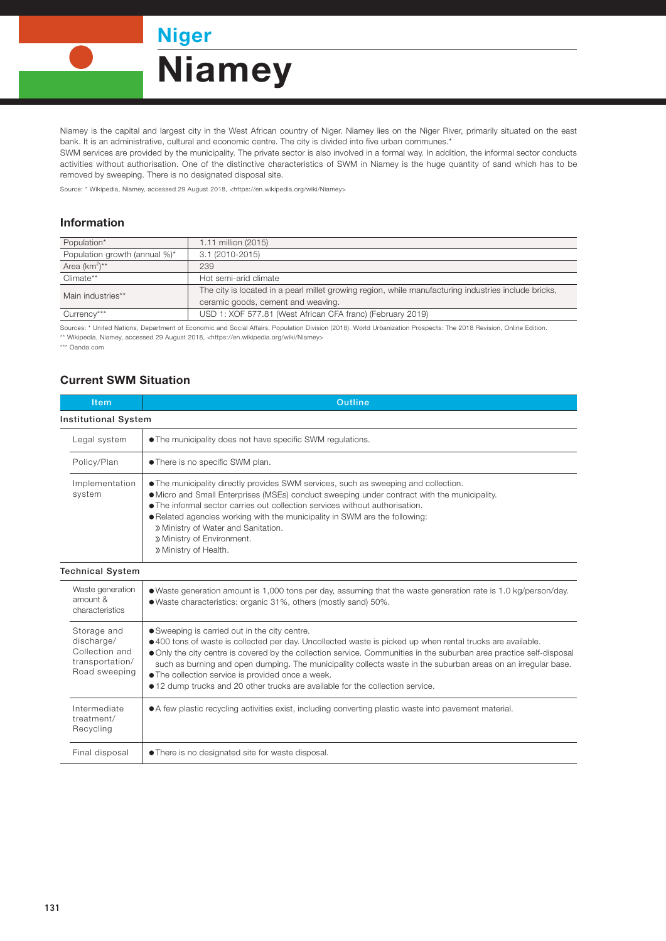Niger **Niamey** 

Niamey is the capital and largest city in the West African country of Niger. Niamey lies on the Niger River, primarily situated on the east bank. It is an administrative, cultural and economic centre. The city is divided into five urban communes.\*

SWM services are provided by the municipality. The private sector is also involved in a formal way. In addition, the informal sector conducts activities without authorisation. One of the distinctive characteristics of SWM in Niamey is the huge quantity of sand which has to be removed by sweeping. There is no designated disposal site.

Source: \* Wikipedia, Niamey, accessed 29 August 2018, <https://en.wikipedia.org/wiki/Niamey>

## Information

| Population*                   | 1.11 million (2015)                                                                                  |  |
|-------------------------------|------------------------------------------------------------------------------------------------------|--|
| Population growth (annual %)* | 3.1 (2010-2015)                                                                                      |  |
| Area $(km^2)^{**}$            | 239                                                                                                  |  |
| Climate**                     | Hot semi-arid climate                                                                                |  |
| Main industries**             | The city is located in a pearl millet growing region, while manufacturing industries include bricks, |  |
|                               | ceramic goods, cement and weaving.                                                                   |  |
| Currency***                   | USD 1: XOF 577.81 (West African CFA franc) (February 2019)                                           |  |

Sources: \* United Nations, Department of Economic and Social Affairs, Population Division (2018). World Urbanization Prospects: The 2018 Revision, Online Edition. \*\* Wikipedia, Niamey, accessed 29 August 2018, <https://en.wikipedia.org/wiki/Niamey>

\*\*\* Oanda.com

## Current SWM Situation

| Item                                                                            | <b>Outline</b>                                                                                                                                                                                                                                                                                                                                                                                                                                                                                                                             |  |  |
|---------------------------------------------------------------------------------|--------------------------------------------------------------------------------------------------------------------------------------------------------------------------------------------------------------------------------------------------------------------------------------------------------------------------------------------------------------------------------------------------------------------------------------------------------------------------------------------------------------------------------------------|--|--|
| <b>Institutional System</b>                                                     |                                                                                                                                                                                                                                                                                                                                                                                                                                                                                                                                            |  |  |
| Legal system                                                                    | • The municipality does not have specific SWM regulations.                                                                                                                                                                                                                                                                                                                                                                                                                                                                                 |  |  |
| Policy/Plan                                                                     | • There is no specific SWM plan.                                                                                                                                                                                                                                                                                                                                                                                                                                                                                                           |  |  |
| Implementation<br>system                                                        | • The municipality directly provides SWM services, such as sweeping and collection.<br>• Micro and Small Enterprises (MSEs) conduct sweeping under contract with the municipality.<br>• The informal sector carries out collection services without authorisation.<br>. Related agencies working with the municipality in SWM are the following:<br>» Ministry of Water and Sanitation.<br>» Ministry of Environment.<br>» Ministry of Health.                                                                                             |  |  |
| <b>Technical System</b>                                                         |                                                                                                                                                                                                                                                                                                                                                                                                                                                                                                                                            |  |  |
| Waste generation<br>amount &<br>characteristics                                 | • Waste generation amount is 1,000 tons per day, assuming that the waste generation rate is 1.0 kg/person/day.<br>.Waste characteristics: organic 31%, others (mostly sand) 50%.                                                                                                                                                                                                                                                                                                                                                           |  |  |
| Storage and<br>discharge/<br>Collection and<br>transportation/<br>Road sweeping | • Sweeping is carried out in the city centre.<br>•400 tons of waste is collected per day. Uncollected waste is picked up when rental trucks are available.<br>• Only the city centre is covered by the collection service. Communities in the suburban area practice self-disposal<br>such as burning and open dumping. The municipality collects waste in the suburban areas on an irregular base.<br>• The collection service is provided once a week.<br>• 12 dump trucks and 20 other trucks are available for the collection service. |  |  |
| Intermediate<br>treatment/<br>Recycling                                         | • A few plastic recycling activities exist, including converting plastic waste into pavement material.                                                                                                                                                                                                                                                                                                                                                                                                                                     |  |  |
| Final disposal                                                                  | • There is no designated site for waste disposal.                                                                                                                                                                                                                                                                                                                                                                                                                                                                                          |  |  |